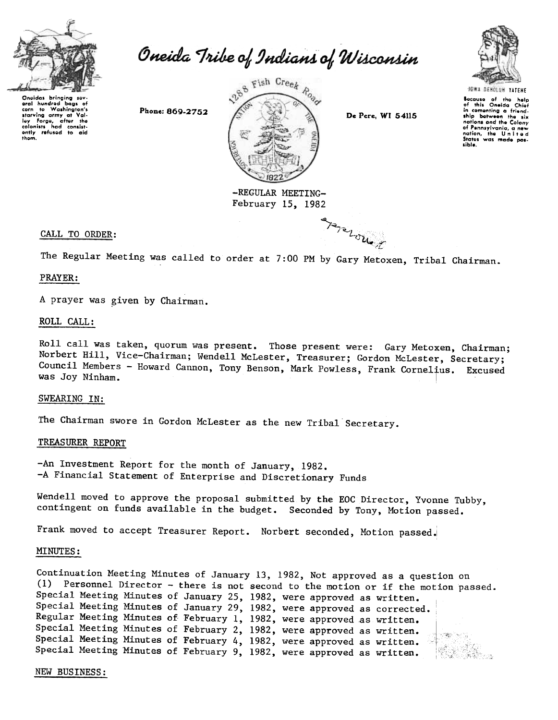

Oneida Tribe of Indians of Wisconsin

Ongidas bringing sgy. gral hundrgd bags of corn to Washington's stary;ng army at Val. ley Forge, after the<br>colonists had consist-<br>ently refused to <mark>ai</mark>d thom.



February 15, 1982

 $P_{\text{P}}$ 

 $u_{\bullet,j}$ 



locauso of Iho help of this Oneida Chief in comenting a friend-<br>ship between the six ship between the si;<br>nations and the Colon;<br>of Pennsylvania, a new<br>nation, the Unite; States was made paslible.

# CALL TO ORDER:

The Regular Meeting was called to order at 7:00 PM by Gary Metoxen, Tribal Chairman.

#### PRAYER:

A prayer was given by Chairman.

## ROLL CALL:

Roll call was taken, quorum was present. Those present were: Gary Metoxen, Chairman; Norbert Hill, Vice-Chairman; Wendell McLester, Treasurer; Gordon McLester, Secretary; Council Members - Howard Cannon, Tony Benson, Mark Powless, Frank Cornelius. Excuse was Joy Ninham.  $\blacksquare$ 

#### SWEARING IN:

The Chairman swore in Gordon McLester as the new Tribal Secretary.

#### TREASURER REPORT

-An Investment Report for the month of January, 1982. -A Financial Statement of Enterprise and Discretionary Funds

Wendell moved to approve the proposal submitted by the EOC Director, Yvonne Tubby, contingent on funds available in the budget. Seconded by Tony, Motion passed.

Frank moved to accept Treasurer Report. Norbert seconded, Motion passed.

#### MINUTES:

Continuation Meeting Minutes of January 13, 1982, Not approved as a question on (1) Personnel Director -there is not second to the motion or if the motion passed. Special Meeting Minutes of January 25, 1982, were approved as written. Special Meeting Minutes of January 29, 1982, were approved as corrected. Regular Meeting Minutes of February 1, 1982, were approved as written. Special Meeting Minutes of February 2, 1982, were approved as written. Special Meeting Minutes of February 4, 1982, were approved as written. 2.742.74 Special Meeting Minutes of February 9, 1982, were approved as written.

#### NEW BUSINESS: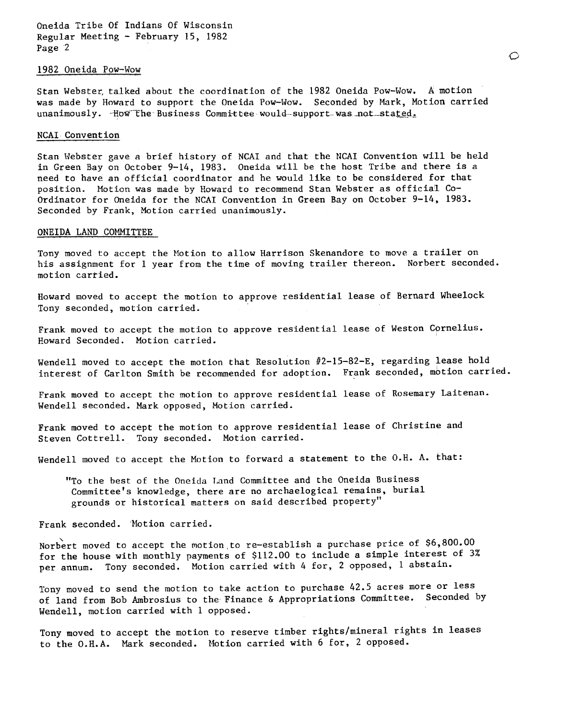Oneida Tribe Of Indians Of Wisconsin Regular Meeting -February 15, 1982 Page 2

# 1982 Oneida Pow-Wow

Stan Webster, talked about the coordination of the 1982 Oneida Pow-Wow. A motion was made by Howard to support the Oneida Pow-Wow. Seconded by Mark, Motion carried  $unanimously.$  How the Business Committee would-support was not stated.

### NCAI Convention

Stan Webster gave a brief history of NCAI and that the NCAI Convention will be held in Green Bay on October  $9-14$ , 1983. Oneida will be the host Tribe and there is a need to have an official coordinator and he would like to be considered for that position. Motion was made by Howard to recommend Stan Webster as official Co-Ordinator for Oneida for the NCAI Convention in Green Bay on October 9-14, 1983. Seconded by Frank, Motion carried unanimously.

#### ONEIDA LAND COMMITTEE

Tony moved to accept the Motion to allow Harrison Skenandore to move a trailer on his assignment for 1 year from the time of moving trailer thereon. Norbert seconded. motion carried.

Howard moved to accept the motion to approve residential lease of Bernard Wheelock, Tony seconded, motion carried.

Frank moved to accept the motion to approve residential lease of Weston Cornelius. Howard Seconded. Motion carried.

Wendell moved to accept the motion that Resolution  $#2-15-82-E$ , regarding lease hold interest of Carlton Smith be recommended for adoption. Frank seconded, motion carried.

Frank moved to accept the motion to approve residential lease of Rosemary Laitenan. Wendell seconded. Mark opposed, Motion carried.

Frank moved to accept the motion to approve residential lease of Christine and Steven Cottrell. Tony seconded. Motion carried.

Wendell moved to accept the Motion to forward a statement to the O.H. A. that:

"To the best of the Oneida T.and Committee and the Oneida Business Committee's knowledge, there are no archaelogical remains, burial grounds or historical matters on said described property"

Frank seconded. 'Motion carried.

Norbert moved to accept the motion to re-establish a purchase price of \$6,800.00 for the house with monthly payments of \$112.00 to include a simple interest of 3% per annum. Tony seconded. Motion carried with 4 for, 2 opposed, 1 abstain.

Tony moved to send the motion to take action to purchase 42.5 acres more or less of land from Bob Ambrosius to the Finance & Appropriations Committee. Seconded by Wendell, motion carried with 1 opposed.

Tony moved to accept the motion to reserve timber rights/mineral rights in leases to the D.H.A. Mark seconded. Motion carried with 6 for, 2 opposed.